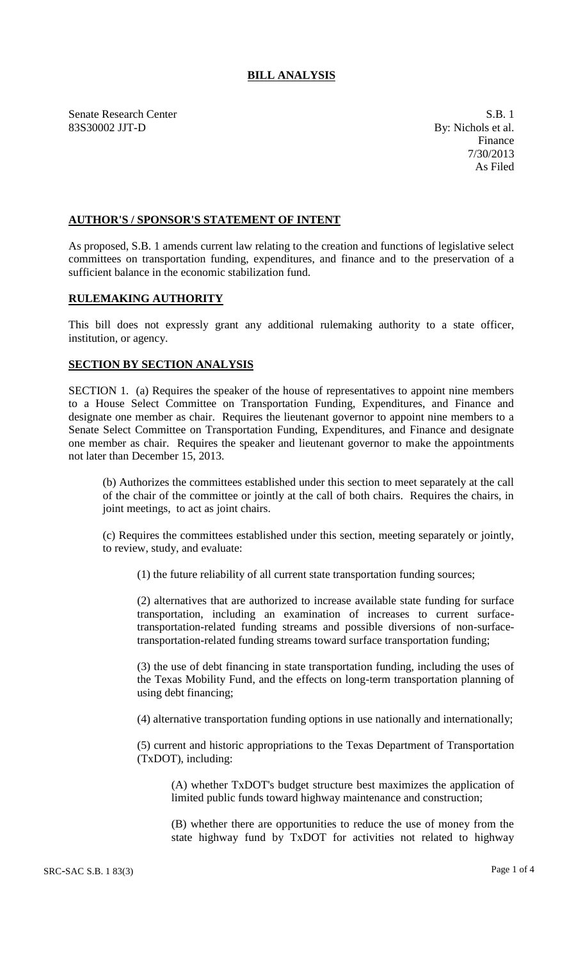# **BILL ANALYSIS**

Senate Research Center S.B. 1 83S30002 JJT-D By: Nichols et al.

Finance 7/30/2013 As Filed

### **AUTHOR'S / SPONSOR'S STATEMENT OF INTENT**

As proposed, S.B. 1 amends current law relating to the creation and functions of legislative select committees on transportation funding, expenditures, and finance and to the preservation of a sufficient balance in the economic stabilization fund.

### **RULEMAKING AUTHORITY**

This bill does not expressly grant any additional rulemaking authority to a state officer, institution, or agency.

#### **SECTION BY SECTION ANALYSIS**

SECTION 1. (a) Requires the speaker of the house of representatives to appoint nine members to a House Select Committee on Transportation Funding, Expenditures, and Finance and designate one member as chair. Requires the lieutenant governor to appoint nine members to a Senate Select Committee on Transportation Funding, Expenditures, and Finance and designate one member as chair. Requires the speaker and lieutenant governor to make the appointments not later than December 15, 2013.

(b) Authorizes the committees established under this section to meet separately at the call of the chair of the committee or jointly at the call of both chairs. Requires the chairs, in joint meetings, to act as joint chairs.

(c) Requires the committees established under this section, meeting separately or jointly, to review, study, and evaluate:

(1) the future reliability of all current state transportation funding sources;

(2) alternatives that are authorized to increase available state funding for surface transportation, including an examination of increases to current surfacetransportation-related funding streams and possible diversions of non-surfacetransportation-related funding streams toward surface transportation funding;

(3) the use of debt financing in state transportation funding, including the uses of the Texas Mobility Fund, and the effects on long-term transportation planning of using debt financing;

(4) alternative transportation funding options in use nationally and internationally;

(5) current and historic appropriations to the Texas Department of Transportation (TxDOT), including:

(A) whether TxDOT's budget structure best maximizes the application of limited public funds toward highway maintenance and construction;

(B) whether there are opportunities to reduce the use of money from the state highway fund by TxDOT for activities not related to highway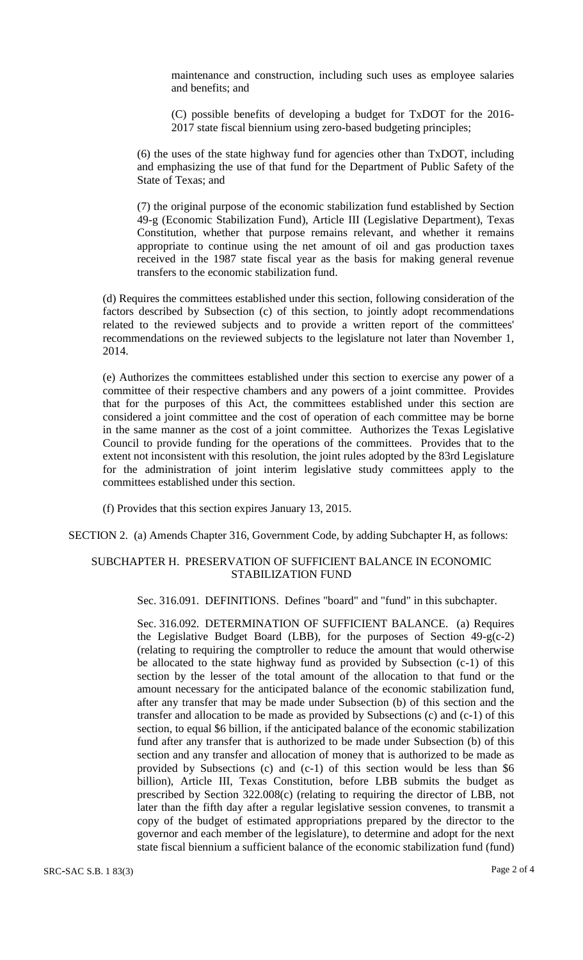maintenance and construction, including such uses as employee salaries and benefits; and

(C) possible benefits of developing a budget for TxDOT for the 2016- 2017 state fiscal biennium using zero-based budgeting principles;

(6) the uses of the state highway fund for agencies other than TxDOT, including and emphasizing the use of that fund for the Department of Public Safety of the State of Texas; and

(7) the original purpose of the economic stabilization fund established by Section 49-g (Economic Stabilization Fund), Article III (Legislative Department), Texas Constitution, whether that purpose remains relevant, and whether it remains appropriate to continue using the net amount of oil and gas production taxes received in the 1987 state fiscal year as the basis for making general revenue transfers to the economic stabilization fund.

(d) Requires the committees established under this section, following consideration of the factors described by Subsection (c) of this section, to jointly adopt recommendations related to the reviewed subjects and to provide a written report of the committees' recommendations on the reviewed subjects to the legislature not later than November 1, 2014.

(e) Authorizes the committees established under this section to exercise any power of a committee of their respective chambers and any powers of a joint committee. Provides that for the purposes of this Act, the committees established under this section are considered a joint committee and the cost of operation of each committee may be borne in the same manner as the cost of a joint committee. Authorizes the Texas Legislative Council to provide funding for the operations of the committees. Provides that to the extent not inconsistent with this resolution, the joint rules adopted by the 83rd Legislature for the administration of joint interim legislative study committees apply to the committees established under this section.

(f) Provides that this section expires January 13, 2015.

SECTION 2. (a) Amends Chapter 316, Government Code, by adding Subchapter H, as follows:

# SUBCHAPTER H. PRESERVATION OF SUFFICIENT BALANCE IN ECONOMIC STABILIZATION FUND

Sec. 316.091. DEFINITIONS. Defines "board" and "fund" in this subchapter.

Sec. 316.092. DETERMINATION OF SUFFICIENT BALANCE. (a) Requires the Legislative Budget Board (LBB), for the purposes of Section 49-g(c-2) (relating to requiring the comptroller to reduce the amount that would otherwise be allocated to the state highway fund as provided by Subsection (c-1) of this section by the lesser of the total amount of the allocation to that fund or the amount necessary for the anticipated balance of the economic stabilization fund, after any transfer that may be made under Subsection (b) of this section and the transfer and allocation to be made as provided by Subsections (c) and (c-1) of this section, to equal \$6 billion, if the anticipated balance of the economic stabilization fund after any transfer that is authorized to be made under Subsection (b) of this section and any transfer and allocation of money that is authorized to be made as provided by Subsections (c) and (c-1) of this section would be less than \$6 billion), Article III, Texas Constitution, before LBB submits the budget as prescribed by Section 322.008(c) (relating to requiring the director of LBB, not later than the fifth day after a regular legislative session convenes, to transmit a copy of the budget of estimated appropriations prepared by the director to the governor and each member of the legislature), to determine and adopt for the next state fiscal biennium a sufficient balance of the economic stabilization fund (fund)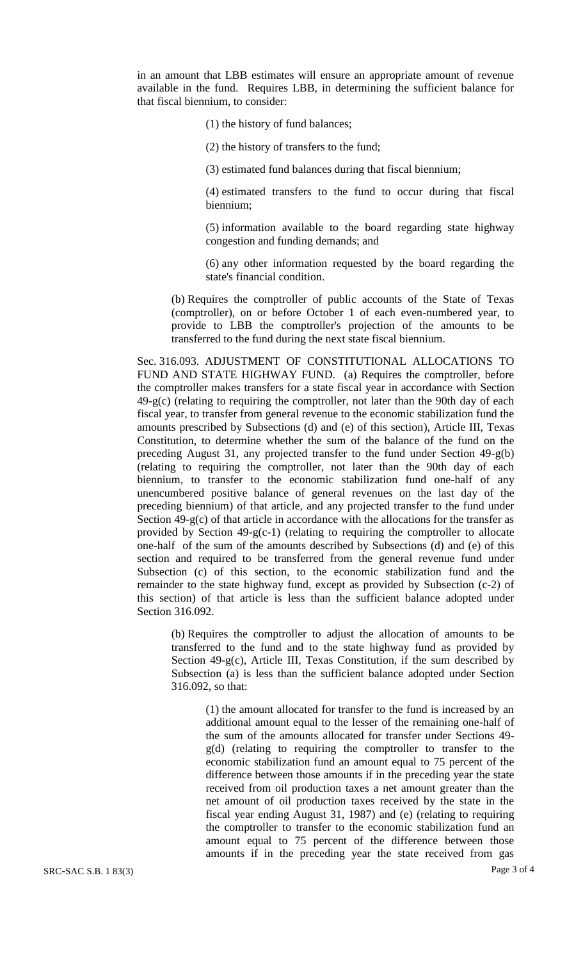in an amount that LBB estimates will ensure an appropriate amount of revenue available in the fund. Requires LBB, in determining the sufficient balance for that fiscal biennium, to consider:

(1) the history of fund balances;

(2) the history of transfers to the fund;

(3) estimated fund balances during that fiscal biennium;

(4) estimated transfers to the fund to occur during that fiscal biennium;

(5) information available to the board regarding state highway congestion and funding demands; and

(6) any other information requested by the board regarding the state's financial condition.

(b) Requires the comptroller of public accounts of the State of Texas (comptroller), on or before October 1 of each even-numbered year, to provide to LBB the comptroller's projection of the amounts to be transferred to the fund during the next state fiscal biennium.

Sec. 316.093. ADJUSTMENT OF CONSTITUTIONAL ALLOCATIONS TO FUND AND STATE HIGHWAY FUND. (a) Requires the comptroller, before the comptroller makes transfers for a state fiscal year in accordance with Section 49-g(c) (relating to requiring the comptroller, not later than the 90th day of each fiscal year, to transfer from general revenue to the economic stabilization fund the amounts prescribed by Subsections (d) and (e) of this section), Article III, Texas Constitution, to determine whether the sum of the balance of the fund on the preceding August 31, any projected transfer to the fund under Section 49-g(b) (relating to requiring the comptroller, not later than the 90th day of each biennium, to transfer to the economic stabilization fund one-half of any unencumbered positive balance of general revenues on the last day of the preceding biennium) of that article, and any projected transfer to the fund under Section 49-g(c) of that article in accordance with the allocations for the transfer as provided by Section 49-g(c-1) (relating to requiring the comptroller to allocate one-half of the sum of the amounts described by Subsections (d) and (e) of this section and required to be transferred from the general revenue fund under Subsection (c) of this section, to the economic stabilization fund and the remainder to the state highway fund, except as provided by Subsection (c-2) of this section) of that article is less than the sufficient balance adopted under Section 316.092.

(b) Requires the comptroller to adjust the allocation of amounts to be transferred to the fund and to the state highway fund as provided by Section 49-g(c), Article III, Texas Constitution, if the sum described by Subsection (a) is less than the sufficient balance adopted under Section 316.092, so that:

(1) the amount allocated for transfer to the fund is increased by an additional amount equal to the lesser of the remaining one-half of the sum of the amounts allocated for transfer under Sections 49 g(d) (relating to requiring the comptroller to transfer to the economic stabilization fund an amount equal to 75 percent of the difference between those amounts if in the preceding year the state received from oil production taxes a net amount greater than the net amount of oil production taxes received by the state in the fiscal year ending August 31, 1987) and (e) (relating to requiring the comptroller to transfer to the economic stabilization fund an amount equal to 75 percent of the difference between those amounts if in the preceding year the state received from gas